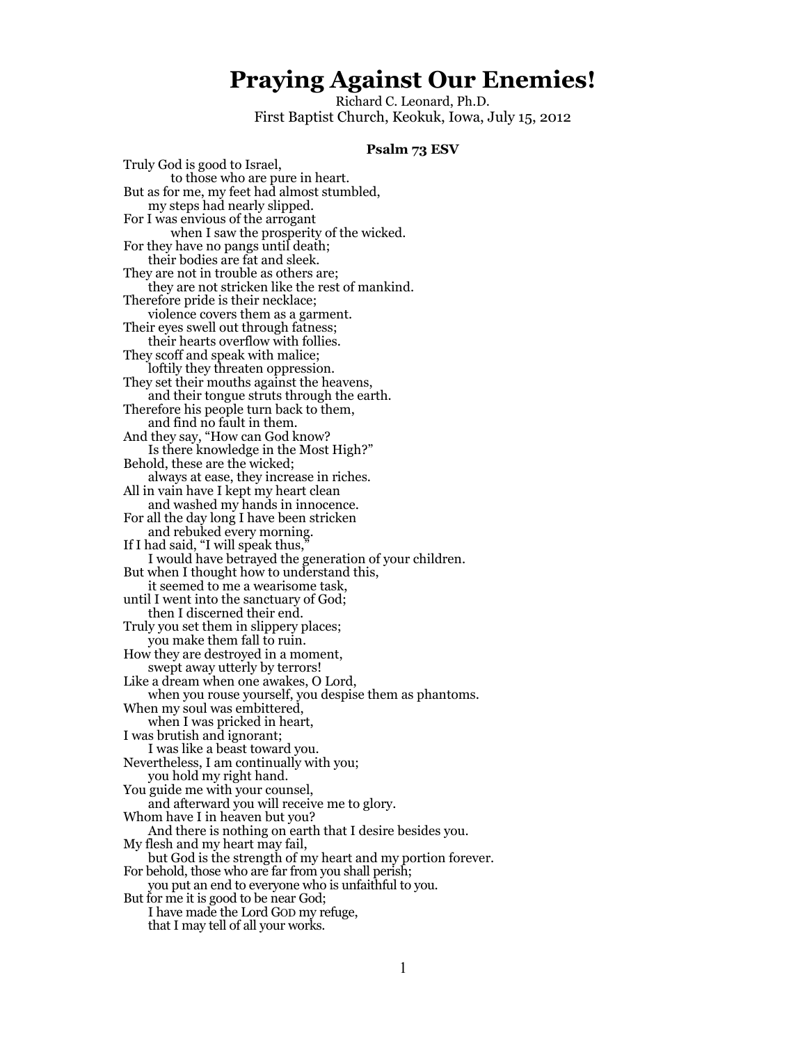# **Praying Against Our Enemies!**

Richard C. Leonard, Ph.D. First Baptist Church, Keokuk, Iowa, July 15, 2012

#### **Psalm 73 ESV**

Truly God is good to Israel, to those who are pure in heart. But as for me, my feet had almost stumbled, my steps had nearly slipped. For I was envious of the arrogant when I saw the prosperity of the wicked. For they have no pangs until death; their bodies are fat and sleek. They are not in trouble as others are; they are not stricken like the rest of mankind. Therefore pride is their necklace; violence covers them as a garment. Their eyes swell out through fatness; their hearts overflow with follies. They scoff and speak with malice; loftily they threaten oppression. They set their mouths against the heavens, and their tongue struts through the earth. Therefore his people turn back to them, and find no fault in them. And they say, "How can God know? Is there knowledge in the Most High?" Behold, these are the wicked; always at ease, they increase in riches. All in vain have I kept my heart clean and washed my hands in innocence. For all the day long I have been stricken and rebuked every morning. If I had said, "I will speak thus," I would have betrayed the generation of your children. But when I thought how to understand this, it seemed to me a wearisome task, until I went into the sanctuary of God; then I discerned their end. Truly you set them in slippery places; you make them fall to ruin. How they are destroyed in a moment, swept away utterly by terrors! Like a dream when one awakes, O Lord, when you rouse yourself, you despise them as phantoms. When my soul was embittered, when I was pricked in heart, I was brutish and ignorant; I was like a beast toward you. Nevertheless, I am continually with you; you hold my right hand. You guide me with your counsel, and afterward you will receive me to glory. Whom have I in heaven but you? And there is nothing on earth that I desire besides you. My flesh and my heart may fail, but God is the strength of my heart and my portion forever. For behold, those who are far from you shall perish; you put an end to everyone who is unfaithful to you. But for me it is good to be near God; I have made the Lord GOD my refuge, that I may tell of all your works.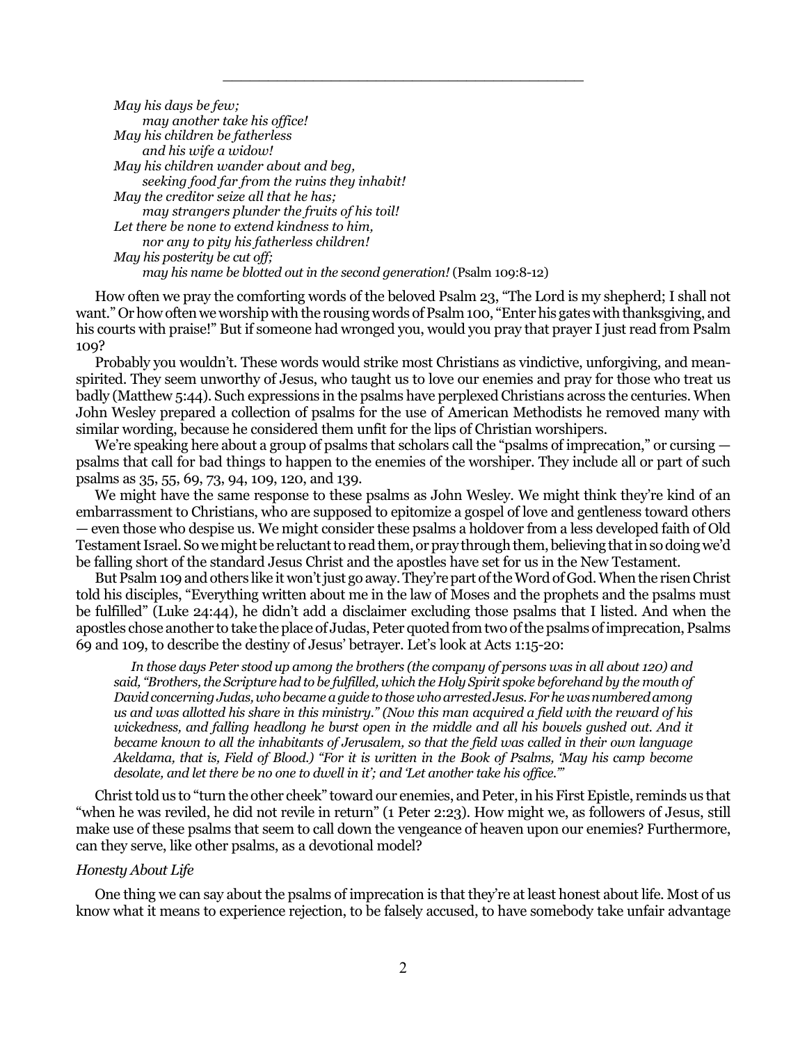*May his days be few; may another take his office! May his children be fatherless and his wife a widow! May his children wander about and beg, seeking food far from the ruins they inhabit! May the creditor seize all that he has; may strangers plunder the fruits of his toil! Let there be none to extend kindness to him, nor any to pity his fatherless children! May his posterity be cut off; may his name be blotted out in the second generation!* (Psalm 109:8-12)

How often we pray the comforting words of the beloved Psalm 23, "The Lord is my shepherd; I shall not want." Or how often we worship with the rousing words of Psalm 100, "Enter his gates with thanksgiving, and his courts with praise!" But if someone had wronged you, would you pray that prayer I just read from Psalm 109?

\_\_\_\_\_\_\_\_\_\_\_\_\_\_\_\_\_\_\_\_\_\_\_\_\_\_\_\_\_\_\_\_\_\_\_\_\_\_\_\_

Probably you wouldn't. These words would strike most Christians as vindictive, unforgiving, and meanspirited. They seem unworthy of Jesus, who taught us to love our enemies and pray for those who treat us badly (Matthew 5:44). Such expressions in the psalms have perplexed Christians across the centuries. When John Wesley prepared a collection of psalms for the use of American Methodists he removed many with similar wording, because he considered them unfit for the lips of Christian worshipers.

We're speaking here about a group of psalms that scholars call the "psalms of imprecation," or cursing psalms that call for bad things to happen to the enemies of the worshiper. They include all or part of such psalms as 35, 55, 69, 73, 94, 109, 120, and 139.

We might have the same response to these psalms as John Wesley. We might think they're kind of an embarrassment to Christians, who are supposed to epitomize a gospel of love and gentleness toward others — even those who despise us. We might consider these psalms a holdover from a less developed faith of Old Testament Israel. So we might be reluctant to read them, or pray through them, believing that in so doing we'd be falling short of the standard Jesus Christ and the apostles have set for us in the New Testament.

But Psalm 109 and others like it won't just go away. They're part of the Word of God. When the risen Christ told his disciples, "Everything written about me in the law of Moses and the prophets and the psalms must be fulfilled" (Luke 24:44), he didn't add a disclaimer excluding those psalms that I listed. And when the apostles chose another to take the place of Judas, Peter quoted from two of the psalms of imprecation, Psalms 69 and 109, to describe the destiny of Jesus' betrayer. Let's look at Acts 1:15-20:

 *In those days Peter stood up among the brothers (the company of persons was in all about 120) and said, "Brothers, the Scripture had to be fulfilled, which the Holy Spirit spoke beforehand by the mouth of David concerning Judas, who became a guide to those who arrested Jesus. For he was numbered among us and was allotted his share in this ministry." (Now this man acquired a field with the reward of his wickedness, and falling headlong he burst open in the middle and all his bowels gushed out. And it became known to all the inhabitants of Jerusalem, so that the field was called in their own language Akeldama, that is, Field of Blood.) "For it is written in the Book of Psalms, 'May his camp become desolate, and let there be no one to dwell in it'; and 'Let another take his office.'"*

Christ told us to "turn the other cheek" toward our enemies, and Peter, in his First Epistle, reminds us that "when he was reviled, he did not revile in return" (1 Peter 2:23). How might we, as followers of Jesus, still make use of these psalms that seem to call down the vengeance of heaven upon our enemies? Furthermore, can they serve, like other psalms, as a devotional model?

### *Honesty About Life*

One thing we can say about the psalms of imprecation is that they're at least honest about life. Most of us know what it means to experience rejection, to be falsely accused, to have somebody take unfair advantage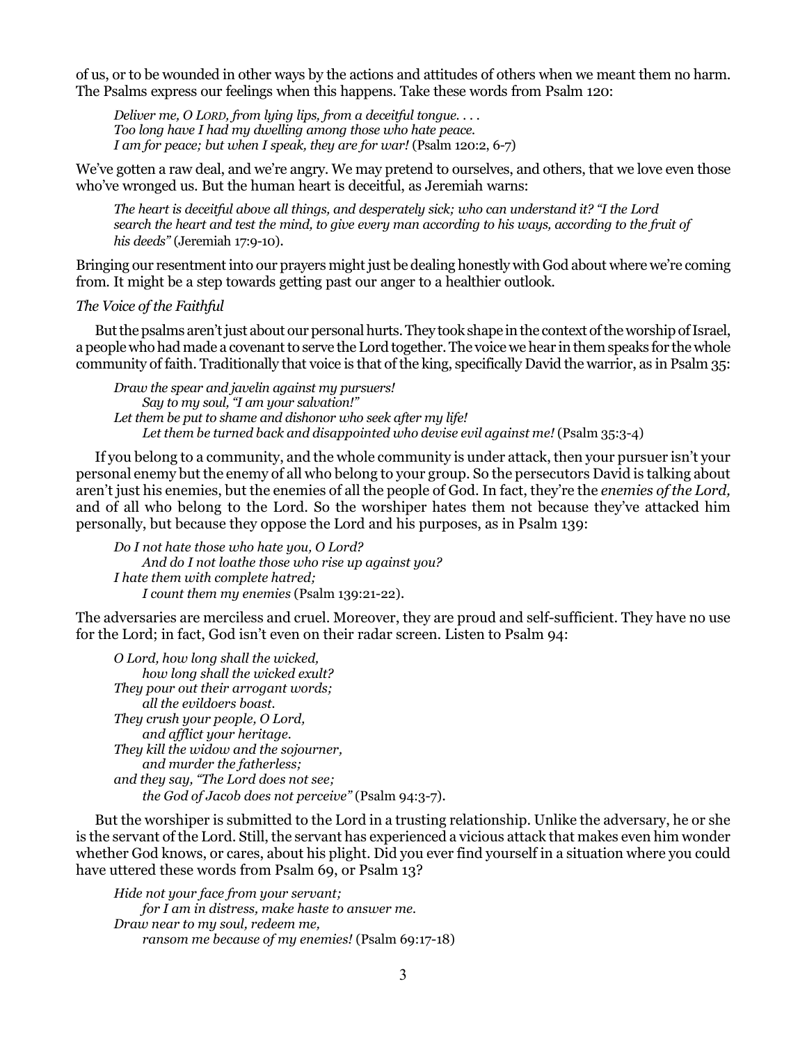of us, or to be wounded in other ways by the actions and attitudes of others when we meant them no harm. The Psalms express our feelings when this happens. Take these words from Psalm 120:

*Deliver me, O LORD, from lying lips, from a deceitful tongue. . . . Too long have I had my dwelling among those who hate peace. I am for peace; but when I speak, they are for war!* (Psalm 120:2, 6-7)

We've gotten a raw deal, and we're angry. We may pretend to ourselves, and others, that we love even those who've wronged us. But the human heart is deceitful, as Jeremiah warns:

*The heart is deceitful above all things, and desperately sick; who can understand it? "I the Lord search the heart and test the mind, to give every man according to his ways, according to the fruit of his deeds"* (Jeremiah 17:9-10).

Bringing our resentment into our prayers might just be dealing honestly with God about where we're coming from. It might be a step towards getting past our anger to a healthier outlook.

# *The Voice of the Faithful*

But the psalms aren't just about our personal hurts. They took shape in the context of the worship of Israel, a people who had made a covenant to serve the Lord together. The voice we hear in them speaks for the whole community of faith. Traditionally that voice is that of the king, specifically David the warrior, as in Psalm 35:

*Draw the spear and javelin against my pursuers! Say to my soul, "I am your salvation!" Let them be put to shame and dishonor who seek after my life! Let them be turned back and disappointed who devise evil against me!* (Psalm 35:3-4)

If you belong to a community, and the whole community is under attack, then your pursuer isn't your personal enemy but the enemy of all who belong to your group. So the persecutors David is talking about aren't just his enemies, but the enemies of all the people of God. In fact, they're the *enemies of the Lord,* and of all who belong to the Lord. So the worshiper hates them not because they've attacked him personally, but because they oppose the Lord and his purposes, as in Psalm 139:

*Do I not hate those who hate you, O Lord? And do I not loathe those who rise up against you? I hate them with complete hatred; I count them my enemies* (Psalm 139:21-22).

The adversaries are merciless and cruel. Moreover, they are proud and self-sufficient. They have no use for the Lord; in fact, God isn't even on their radar screen. Listen to Psalm 94:

*O Lord, how long shall the wicked, how long shall the wicked exult? They pour out their arrogant words; all the evildoers boast. They crush your people, O Lord, and afflict your heritage. They kill the widow and the sojourner, and murder the fatherless; and they say, "The Lord does not see; the God of Jacob does not perceive"* (Psalm 94:3-7).

But the worshiper is submitted to the Lord in a trusting relationship. Unlike the adversary, he or she is the servant of the Lord. Still, the servant has experienced a vicious attack that makes even him wonder whether God knows, or cares, about his plight. Did you ever find yourself in a situation where you could have uttered these words from Psalm 69, or Psalm 13?

*Hide not your face from your servant; for I am in distress, make haste to answer me. Draw near to my soul, redeem me, ransom me because of my enemies!* (Psalm 69:17-18)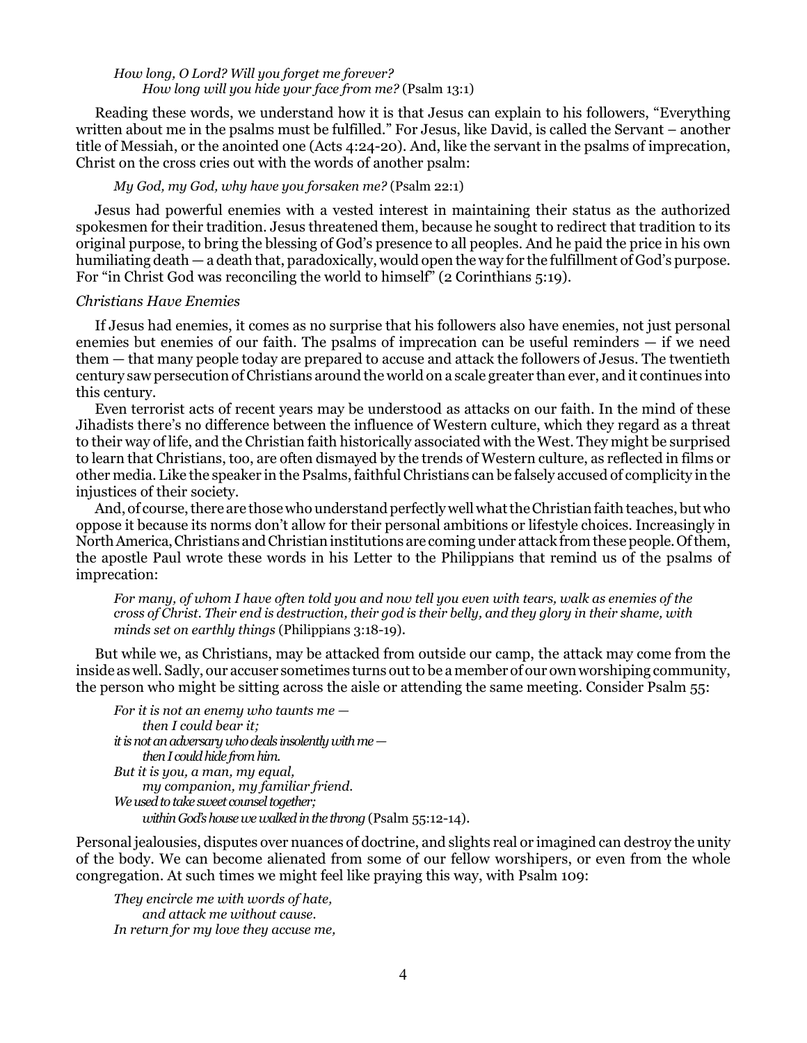### *How long, O Lord? Will you forget me forever? How long will you hide your face from me?* (Psalm 13:1)

Reading these words, we understand how it is that Jesus can explain to his followers, "Everything written about me in the psalms must be fulfilled." For Jesus, like David, is called the Servant – another title of Messiah, or the anointed one (Acts 4:24-20). And, like the servant in the psalms of imprecation, Christ on the cross cries out with the words of another psalm:

#### *My God, my God, why have you forsaken me?* (Psalm 22:1)

Jesus had powerful enemies with a vested interest in maintaining their status as the authorized spokesmen for their tradition. Jesus threatened them, because he sought to redirect that tradition to its original purpose, to bring the blessing of God's presence to all peoples. And he paid the price in his own humiliating death — a death that, paradoxically, would open the way for the fulfillment of God's purpose. For "in Christ God was reconciling the world to himself" (2 Corinthians 5:19).

### *Christians Have Enemies*

If Jesus had enemies, it comes as no surprise that his followers also have enemies, not just personal enemies but enemies of our faith. The psalms of imprecation can be useful reminders — if we need them — that many people today are prepared to accuse and attack the followers of Jesus. The twentieth century saw persecution of Christians around the world on a scale greater than ever, and it continues into this century.

Even terrorist acts of recent years may be understood as attacks on our faith. In the mind of these Jihadists there's no difference between the influence of Western culture, which they regard as a threat to their way of life, and the Christian faith historically associated with the West. They might be surprised to learn that Christians, too, are often dismayed by the trends of Western culture, as reflected in films or other media. Like the speaker in the Psalms, faithful Christians can be falsely accused of complicity in the injustices of their society.

And, of course, there are those who understand perfectly well what the Christian faith teaches, but who oppose it because its norms don't allow for their personal ambitions or lifestyle choices. Increasingly in North America, Christians and Christian institutions are coming under attack from these people. Of them, the apostle Paul wrote these words in his Letter to the Philippians that remind us of the psalms of imprecation:

*For many, of whom I have often told you and now tell you even with tears, walk as enemies of the cross of Christ. Their end is destruction, their god is their belly, and they glory in their shame, with minds set on earthly things* (Philippians 3:18-19).

But while we, as Christians, may be attacked from outside our camp, the attack may come from the inside as well. Sadly, our accuser sometimes turns out to be a member of our own worshiping community, the person who might be sitting across the aisle or attending the same meeting. Consider Psalm 55:

```
For it is not an enemy who taunts me — 
     then I could bear it;
it is not an adversary who deals insolently with me — 
     then I could hide from him.
But it is you, a man, my equal, 
     my companion, my familiar friend.
We used to take sweet counsel together; 
     within God's house we walked in the throng (Psalm 55:12-14).
```
Personal jealousies, disputes over nuances of doctrine, and slights real or imagined can destroy the unity of the body. We can become alienated from some of our fellow worshipers, or even from the whole congregation. At such times we might feel like praying this way, with Psalm 109:

*They encircle me with words of hate, and attack me without cause. In return for my love they accuse me,*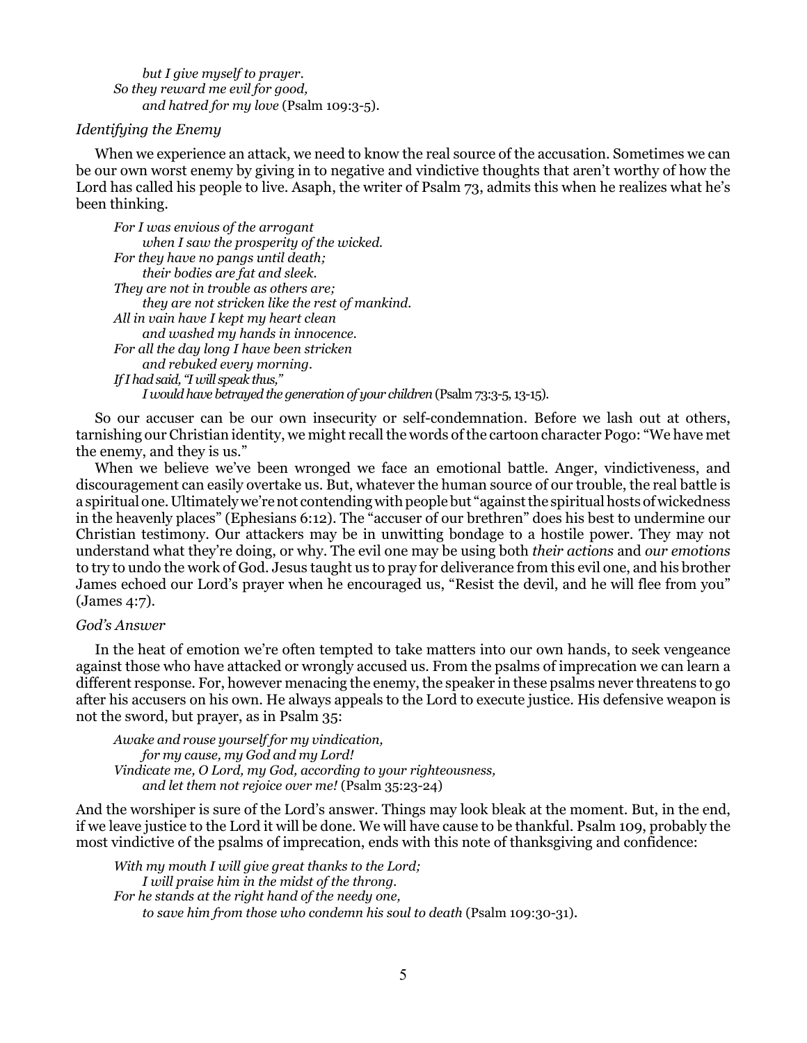*but I give myself to prayer. So they reward me evil for good, and hatred for my love* (Psalm 109:3-5).

# *Identifying the Enemy*

When we experience an attack, we need to know the real source of the accusation. Sometimes we can be our own worst enemy by giving in to negative and vindictive thoughts that aren't worthy of how the Lord has called his people to live. Asaph, the writer of Psalm 73, admits this when he realizes what he's been thinking.

*For I was envious of the arrogant when I saw the prosperity of the wicked. For they have no pangs until death; their bodies are fat and sleek. They are not in trouble as others are; they are not stricken like the rest of mankind. All in vain have I kept my heart clean and washed my hands in innocence. For all the day long I have been stricken and rebuked every morning. If I had said, "I will speak thus," I would have betrayed the generation of your children* (Psalm 73:3-5, 13-15).

So our accuser can be our own insecurity or self-condemnation. Before we lash out at others, tarnishing our Christian identity, we might recall the words of the cartoon character Pogo: "We have met the enemy, and they is us."

When we believe we've been wronged we face an emotional battle. Anger, vindictiveness, and discouragement can easily overtake us. But, whatever the human source of our trouble, the real battle is a spiritual one. Ultimately we're not contending with people but "against the spiritual hosts of wickedness in the heavenly places" (Ephesians 6:12). The "accuser of our brethren" does his best to undermine our Christian testimony. Our attackers may be in unwitting bondage to a hostile power. They may not understand what they're doing, or why. The evil one may be using both *their actions* and *our emotions* to try to undo the work of God. Jesus taught us to pray for deliverance from this evil one, and his brother James echoed our Lord's prayer when he encouraged us, "Resist the devil, and he will flee from you" (James 4:7).

# *God's Answer*

In the heat of emotion we're often tempted to take matters into our own hands, to seek vengeance against those who have attacked or wrongly accused us. From the psalms of imprecation we can learn a different response. For, however menacing the enemy, the speaker in these psalms never threatens to go after his accusers on his own. He always appeals to the Lord to execute justice. His defensive weapon is not the sword, but prayer, as in Psalm 35:

*Awake and rouse yourself for my vindication, for my cause, my God and my Lord! Vindicate me, O Lord, my God, according to your righteousness, and let them not rejoice over me!* (Psalm 35:23-24)

And the worshiper is sure of the Lord's answer. Things may look bleak at the moment. But, in the end, if we leave justice to the Lord it will be done. We will have cause to be thankful. Psalm 109, probably the most vindictive of the psalms of imprecation, ends with this note of thanksgiving and confidence:

*With my mouth I will give great thanks to the Lord; I will praise him in the midst of the throng. For he stands at the right hand of the needy one, to save him from those who condemn his soul to death* (Psalm 109:30-31).